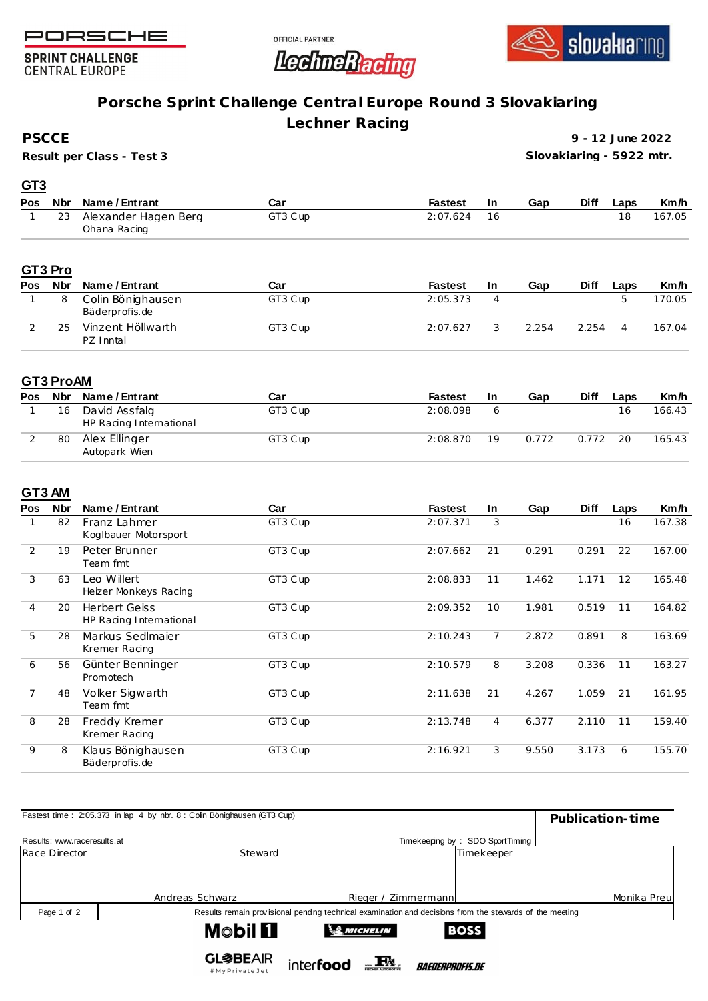





**SPRINT CHALLENGE CENTRAL EUROPE** 

## **Porsche Sprint Challenge Central Europe Round 3 Slovakiaring**

**Lechner Racing**

**PSCCE**

 $G_{T2}$ 

**Result per Class - Test 3**

**9 - 12 June 2022 Slovakiaring - 5922 mtr.**

|    | Pos Nbr Name/Entrant                 | Car     | <b>Fastest</b> | -In  | Gap | <b>Diff</b> | Laps | Km/h   |
|----|--------------------------------------|---------|----------------|------|-----|-------------|------|--------|
| 23 | Alexander Hagen Berg<br>Ohana Racing | GT3 Cup | 2:07.624       | - 16 |     |             | 18   | 167.05 |

#### **GT3 Pro**

| <b>Pos</b> | Nbr | Name / Entrant                      | Car     | <b>Fastest</b> | -In | Gap   | Diff  | Laps | Km/h   |
|------------|-----|-------------------------------------|---------|----------------|-----|-------|-------|------|--------|
|            |     | Colin Bönighausen<br>Bäderprofis.de | GT3 Cup | 2:05.373       |     |       |       |      | 170.05 |
|            | 25  | Vinzent Höllwarth<br>PZ Inntal      | GT3 Cup | 2:07.627       |     | 2.254 | 2.254 |      | 167.04 |

#### **GT3 ProAM**

| <b>Pos</b> | Nbr | Name / Entrant                           | Car     | <b>Fastest</b> | In | Gap   | Diff  | Laps | Km/h   |
|------------|-----|------------------------------------------|---------|----------------|----|-------|-------|------|--------|
|            | 16  | David Assfalg<br>HP Racing International | GT3 Cup | 2:08.098       |    |       |       | 16   | 166.43 |
|            | 80  | Alex Ellinger<br>Autopark Wien           | GT3 Cup | 2:08.870       | 19 | 0.772 | 0.772 | -20  | 165.43 |

#### **GT3 AM**

| <b>Pos</b> | Nbr | Name / Entrant                                  | Car     | <b>Fastest</b> | In.            | Gap   | <b>Diff</b> | Laps | Km/h   |
|------------|-----|-------------------------------------------------|---------|----------------|----------------|-------|-------------|------|--------|
|            | 82  | Franz Lahmer<br>Koglbauer Motorsport            | GT3 Cup | 2:07.371       | 3              |       |             | 16   | 167.38 |
| 2          | 19  | Peter Brunner<br>Team fmt                       | GT3 Cup | 2:07.662       | 21             | 0.291 | 0.291       | 22   | 167.00 |
| 3          | 63  | Leo Willert<br>Heizer Monkeys Racing            | GT3 Cup | 2:08.833       | 11             | 1.462 | 1.171       | 12   | 165.48 |
| 4          | 20  | <b>Herbert Geiss</b><br>HP Racing International | GT3 Cup | 2:09.352       | 10             | 1.981 | 0.519       | 11   | 164.82 |
| 5          | 28  | Markus Sedlmajer<br>Kremer Racing               | GT3 Cup | 2:10.243       | $\overline{7}$ | 2.872 | 0.891       | 8    | 163.69 |
| 6          | 56  | Günter Benninger<br>Promotech                   | GT3 Cup | 2:10.579       | 8              | 3.208 | 0.336       | 11   | 163.27 |
| 7          | 48  | Volker Sigwarth<br>Team fmt                     | GT3 Cup | 2:11.638       | 21             | 4.267 | 1.059       | 21   | 161.95 |
| 8          | 28  | Freddy Kremer<br>Kremer Racing                  | GT3 Cup | 2:13.748       | 4              | 6.377 | 2.110       | 11   | 159.40 |
| 9          | 8   | Klaus Bönighausen<br>Bäderprofis.de             | GT3 Cup | 2:16.921       | 3              | 9.550 | 3.173       | 6    | 155.70 |

| Fastest time: 2:05.373 in lap 4 by nbr. 8 : Colin Bönighausen (GT3 Cup) | Publication-time |                 |           |                     |                               |                                                                                                         |             |
|-------------------------------------------------------------------------|------------------|-----------------|-----------|---------------------|-------------------------------|---------------------------------------------------------------------------------------------------------|-------------|
|                                                                         |                  |                 |           |                     |                               |                                                                                                         |             |
| Results: www.raceresults.at                                             |                  |                 |           |                     |                               | Timekeeping by: SDO SportTiming                                                                         |             |
| Race Director                                                           |                  | Steward         |           |                     |                               | Timekeeper                                                                                              |             |
|                                                                         |                  |                 |           |                     |                               |                                                                                                         |             |
|                                                                         |                  |                 |           |                     |                               |                                                                                                         |             |
|                                                                         |                  |                 |           |                     |                               |                                                                                                         |             |
|                                                                         | Andreas Schwarzl |                 |           | Rieger / Zimmermann |                               |                                                                                                         | Monika Preu |
| Page 1 of 2                                                             |                  |                 |           |                     |                               | Results remain provisional pending technical examination and decisions from the stewards of the meeting |             |
|                                                                         |                  |                 |           |                     |                               |                                                                                                         |             |
|                                                                         |                  | <b>Mobil El</b> |           | <b>SO MICHELIN</b>  |                               | <b>BOSS</b>                                                                                             |             |
|                                                                         |                  |                 |           |                     |                               |                                                                                                         |             |
|                                                                         |                  | <b>GL参BEAIR</b> | interfood | <u>Ед</u>           |                               |                                                                                                         |             |
|                                                                         |                  | #MyPrivateJet   |           |                     | <i><b>BAEDERPROFIS.DE</b></i> |                                                                                                         |             |